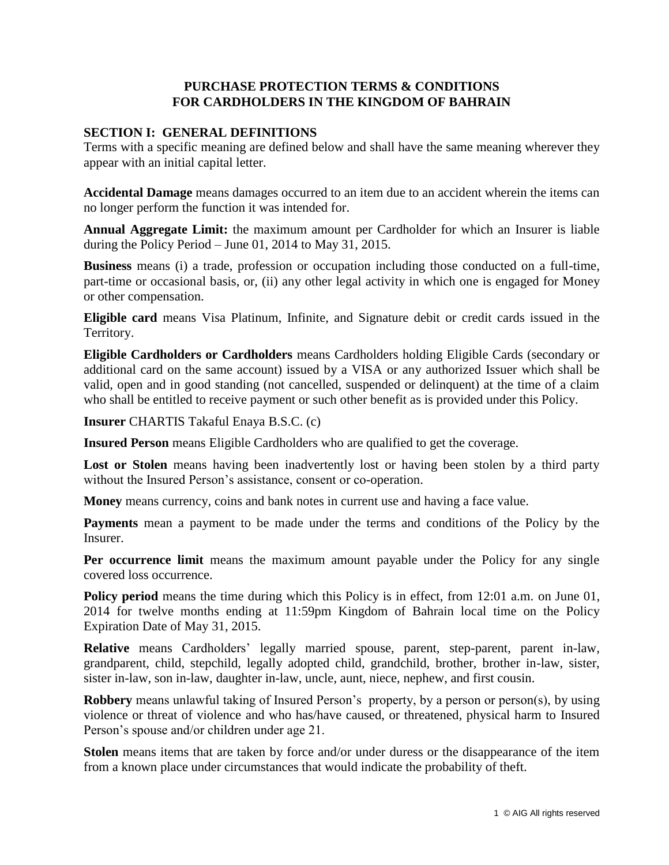# **PURCHASE PROTECTION TERMS & CONDITIONS FOR CARDHOLDERS IN THE KINGDOM OF BAHRAIN**

## **SECTION I: GENERAL DEFINITIONS**

Terms with a specific meaning are defined below and shall have the same meaning wherever they appear with an initial capital letter.

**Accidental Damage** means damages occurred to an item due to an accident wherein the items can no longer perform the function it was intended for.

**Annual Aggregate Limit:** the maximum amount per Cardholder for which an Insurer is liable during the Policy Period – June 01, 2014 to May 31, 2015.

**Business** means (i) a trade, profession or occupation including those conducted on a full-time, part-time or occasional basis, or, (ii) any other legal activity in which one is engaged for Money or other compensation.

**Eligible card** means Visa Platinum, Infinite, and Signature debit or credit cards issued in the Territory.

**Eligible Cardholders or Cardholders** means Cardholders holding Eligible Cards (secondary or additional card on the same account) issued by a VISA or any authorized Issuer which shall be valid, open and in good standing (not cancelled, suspended or delinquent) at the time of a claim who shall be entitled to receive payment or such other benefit as is provided under this Policy.

**Insurer** CHARTIS Takaful Enaya B.S.C. (c)

**Insured Person** means Eligible Cardholders who are qualified to get the coverage.

Lost or Stolen means having been inadvertently lost or having been stolen by a third party without the Insured Person's assistance, consent or co-operation.

**Money** means currency, coins and bank notes in current use and having a face value.

**Payments** mean a payment to be made under the terms and conditions of the Policy by the Insurer.

**Per occurrence limit** means the maximum amount payable under the Policy for any single covered loss occurrence.

**Policy period** means the time during which this Policy is in effect, from 12:01 a.m. on June 01, 2014 for twelve months ending at 11:59pm Kingdom of Bahrain local time on the Policy Expiration Date of May 31, 2015.

**Relative** means Cardholders' legally married spouse, parent, step-parent, parent in-law, grandparent, child, stepchild, legally adopted child, grandchild, brother, brother in-law, sister, sister in-law, son in-law, daughter in-law, uncle, aunt, niece, nephew, and first cousin.

**Robbery** means unlawful taking of Insured Person's property, by a person or person(s), by using violence or threat of violence and who has/have caused, or threatened, physical harm to Insured Person's spouse and/or children under age 21.

**Stolen** means items that are taken by force and/or under duress or the disappearance of the item from a known place under circumstances that would indicate the probability of theft.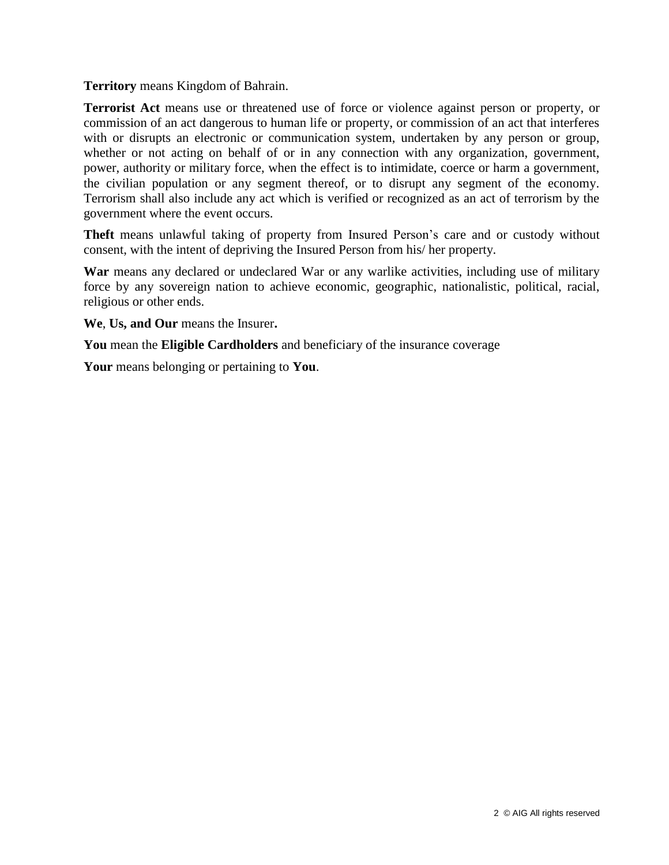#### **Territory** means Kingdom of Bahrain.

**Terrorist Act** means use or threatened use of force or violence against person or property, or commission of an act dangerous to human life or property, or commission of an act that interferes with or disrupts an electronic or communication system, undertaken by any person or group, whether or not acting on behalf of or in any connection with any organization, government, power, authority or military force, when the effect is to intimidate, coerce or harm a government, the civilian population or any segment thereof, or to disrupt any segment of the economy. Terrorism shall also include any act which is verified or recognized as an act of terrorism by the government where the event occurs.

**Theft** means unlawful taking of property from Insured Person's care and or custody without consent, with the intent of depriving the Insured Person from his/ her property.

**War** means any declared or undeclared War or any warlike activities, including use of military force by any sovereign nation to achieve economic, geographic, nationalistic, political, racial, religious or other ends.

**We**, **Us, and Our** means the Insurer**.**

**You** mean the **Eligible Cardholders** and beneficiary of the insurance coverage

**Your** means belonging or pertaining to **You**.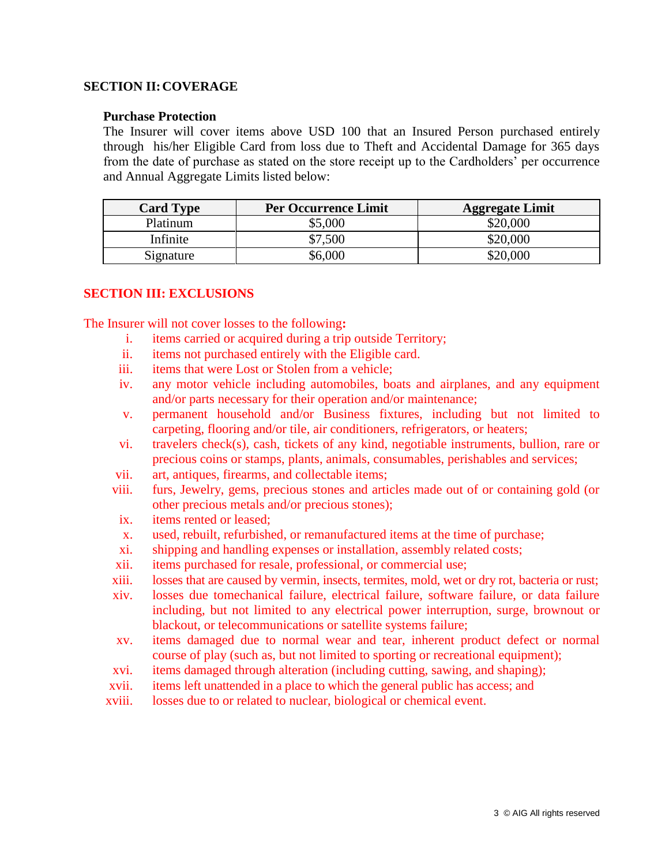#### **SECTION II:COVERAGE**

#### **Purchase Protection**

The Insurer will cover items above USD 100 that an Insured Person purchased entirely through his/her Eligible Card from loss due to Theft and Accidental Damage for 365 days from the date of purchase as stated on the store receipt up to the Cardholders' per occurrence and Annual Aggregate Limits listed below:

| <b>Card Type</b> | <b>Per Occurrence Limit</b> | <b>Aggregate Limit</b> |
|------------------|-----------------------------|------------------------|
| Platinum         | \$5,000                     | \$20,000               |
| Infinite         | \$7,500                     | \$20,000               |
| Signature        | \$6,000                     | \$20,000               |

## **SECTION III: EXCLUSIONS**

The Insurer will not cover losses to the following**:**

- i. items carried or acquired during a trip outside Territory;
- ii. items not purchased entirely with the Eligible card.
- iii. items that were Lost or Stolen from a vehicle;
- iv. any motor vehicle including automobiles, boats and airplanes, and any equipment and/or parts necessary for their operation and/or maintenance;
- v. permanent household and/or Business fixtures, including but not limited to carpeting, flooring and/or tile, air conditioners, refrigerators, or heaters;
- vi. travelers check(s), cash, tickets of any kind, negotiable instruments, bullion, rare or precious coins or stamps, plants, animals, consumables, perishables and services;
- vii. art, antiques, firearms, and collectable items;
- viii. furs, Jewelry, gems, precious stones and articles made out of or containing gold (or other precious metals and/or precious stones);
- ix. items rented or leased;
- x. used, rebuilt, refurbished, or remanufactured items at the time of purchase;
- xi. shipping and handling expenses or installation, assembly related costs;
- xii. items purchased for resale, professional, or commercial use;
- xiii. losses that are caused by vermin, insects, termites, mold, wet or dry rot, bacteria or rust;
- xiv. losses due tomechanical failure, electrical failure, software failure, or data failure including, but not limited to any electrical power interruption, surge, brownout or blackout, or telecommunications or satellite systems failure;
- xv. items damaged due to normal wear and tear, inherent product defect or normal course of play (such as, but not limited to sporting or recreational equipment);
- xvi. items damaged through alteration (including cutting, sawing, and shaping);
- xvii. items left unattended in a place to which the general public has access; and
- xviii. losses due to or related to nuclear, biological or chemical event.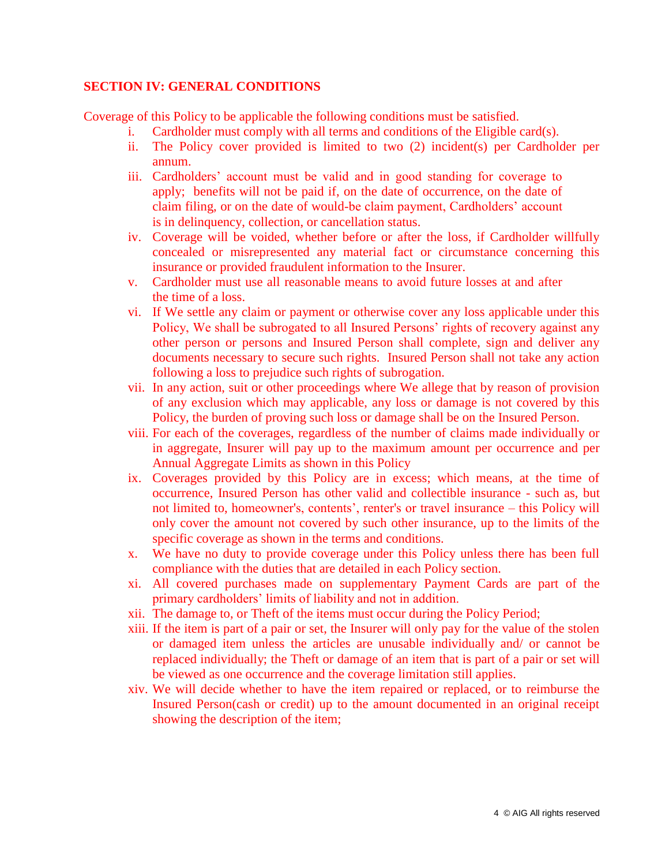## **SECTION IV: GENERAL CONDITIONS**

Coverage of this Policy to be applicable the following conditions must be satisfied.

- i. Cardholder must comply with all terms and conditions of the Eligible card $(s)$ .
- ii. The Policy cover provided is limited to two (2) incident(s) per Cardholder per annum.
- iii. Cardholders' account must be valid and in good standing for coverage to apply; benefits will not be paid if, on the date of occurrence, on the date of claim filing, or on the date of would-be claim payment, Cardholders' account is in delinquency, collection, or cancellation status.
- iv. Coverage will be voided, whether before or after the loss, if Cardholder willfully concealed or misrepresented any material fact or circumstance concerning this insurance or provided fraudulent information to the Insurer.
- v. Cardholder must use all reasonable means to avoid future losses at and after the time of a loss.
- vi. If We settle any claim or payment or otherwise cover any loss applicable under this Policy, We shall be subrogated to all Insured Persons' rights of recovery against any other person or persons and Insured Person shall complete, sign and deliver any documents necessary to secure such rights. Insured Person shall not take any action following a loss to prejudice such rights of subrogation.
- vii. In any action, suit or other proceedings where We allege that by reason of provision of any exclusion which may applicable, any loss or damage is not covered by this Policy, the burden of proving such loss or damage shall be on the Insured Person.
- viii. For each of the coverages, regardless of the number of claims made individually or in aggregate, Insurer will pay up to the maximum amount per occurrence and per Annual Aggregate Limits as shown in this Policy
- ix. Coverages provided by this Policy are in excess; which means, at the time of occurrence, Insured Person has other valid and collectible insurance - such as, but not limited to, homeowner's, contents', renter's or travel insurance – this Policy will only cover the amount not covered by such other insurance, up to the limits of the specific coverage as shown in the terms and conditions.
- x. We have no duty to provide coverage under this Policy unless there has been full compliance with the duties that are detailed in each Policy section.
- xi. All covered purchases made on supplementary Payment Cards are part of the primary cardholders' limits of liability and not in addition.
- xii. The damage to, or Theft of the items must occur during the Policy Period;
- xiii. If the item is part of a pair or set, the Insurer will only pay for the value of the stolen or damaged item unless the articles are unusable individually and/ or cannot be replaced individually; the Theft or damage of an item that is part of a pair or set will be viewed as one occurrence and the coverage limitation still applies.
- xiv. We will decide whether to have the item repaired or replaced, or to reimburse the Insured Person(cash or credit) up to the amount documented in an original receipt showing the description of the item;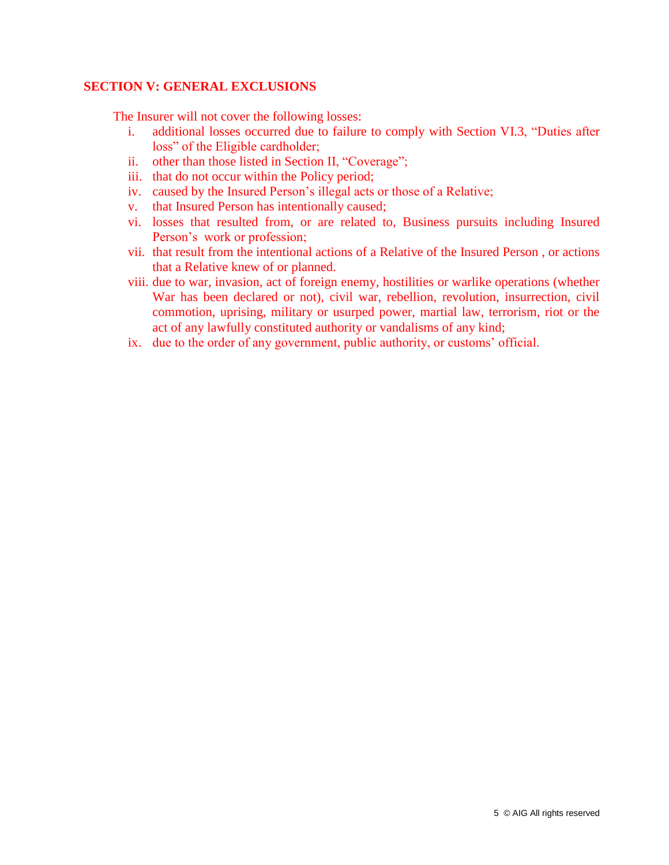#### **SECTION V: GENERAL EXCLUSIONS**

The Insurer will not cover the following losses:

- i. additional losses occurred due to failure to comply with Section VI.3, "Duties after loss" of the Eligible cardholder;
- ii. other than those listed in Section II, "Coverage";
- iii. that do not occur within the Policy period;
- iv. caused by the Insured Person's illegal acts or those of a Relative;
- v. that Insured Person has intentionally caused;
- vi. losses that resulted from, or are related to, Business pursuits including Insured Person's work or profession;
- vii. that result from the intentional actions of a Relative of the Insured Person , or actions that a Relative knew of or planned.
- viii. due to war, invasion, act of foreign enemy, hostilities or warlike operations (whether War has been declared or not), civil war, rebellion, revolution, insurrection, civil commotion, uprising, military or usurped power, martial law, terrorism, riot or the act of any lawfully constituted authority or vandalisms of any kind;
- ix. due to the order of any government, public authority, or customs' official.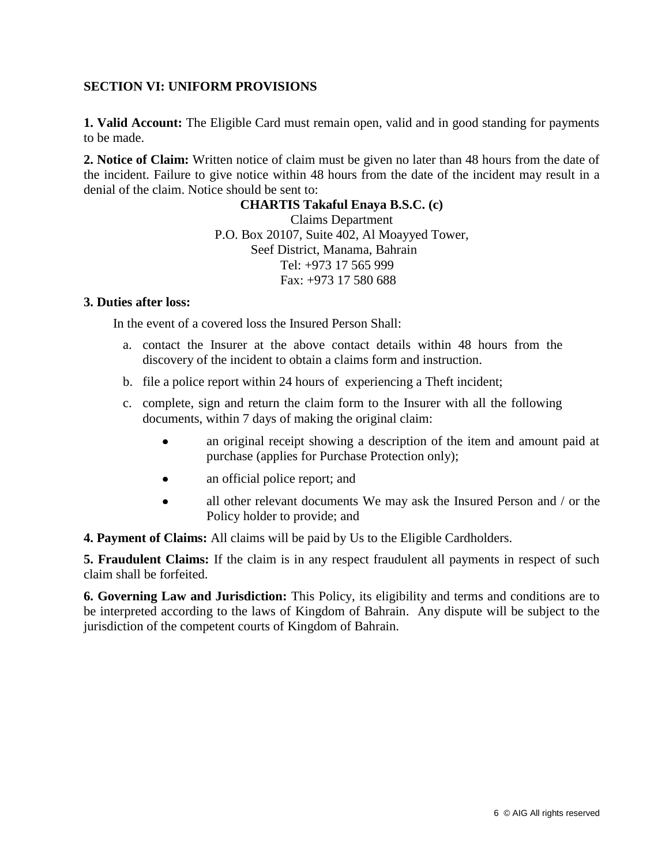## **SECTION VI: UNIFORM PROVISIONS**

**1. Valid Account:** The Eligible Card must remain open, valid and in good standing for payments to be made.

**2. Notice of Claim:** Written notice of claim must be given no later than 48 hours from the date of the incident. Failure to give notice within 48 hours from the date of the incident may result in a denial of the claim. Notice should be sent to:

> **CHARTIS Takaful Enaya B.S.C. (c)** Claims Department P.O. Box 20107, Suite 402, Al Moayyed Tower, Seef District, Manama, Bahrain Tel: +973 17 565 999 Fax: +973 17 580 688

#### **3. Duties after loss:**

In the event of a covered loss the Insured Person Shall:

- a. contact the Insurer at the above contact details within 48 hours from the discovery of the incident to obtain a claims form and instruction.
- b. file a police report within 24 hours of experiencing a Theft incident;
- c. complete, sign and return the claim form to the Insurer with all the following documents, within 7 days of making the original claim:
	- an original receipt showing a description of the item and amount paid at  $\bullet$ purchase (applies for Purchase Protection only);
	- $\bullet$ an official police report; and
	- all other relevant documents We may ask the Insured Person and / or the  $\bullet$ Policy holder to provide; and

**4. Payment of Claims:** All claims will be paid by Us to the Eligible Cardholders.

**5. Fraudulent Claims:** If the claim is in any respect fraudulent all payments in respect of such claim shall be forfeited.

**6. Governing Law and Jurisdiction:** This Policy, its eligibility and terms and conditions are to be interpreted according to the laws of Kingdom of Bahrain. Any dispute will be subject to the jurisdiction of the competent courts of Kingdom of Bahrain.